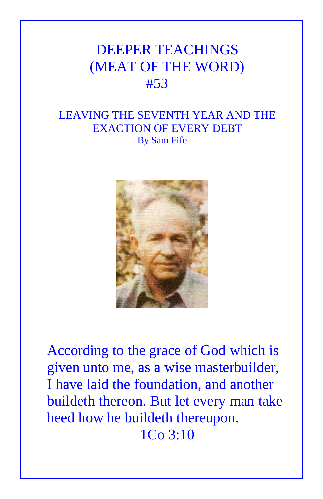## DEEPER TEACHINGS (MEAT OF THE WORD) #53

## LEAVING THE SEVENTH YEAR AND THE EXACTION OF EVERY DEBT By Sam Fife



According to the grace of God which is given unto me, as a wise masterbuilder, I have laid the foundation, and another buildeth thereon. But let every man take heed how he buildeth thereupon. 1Co 3:10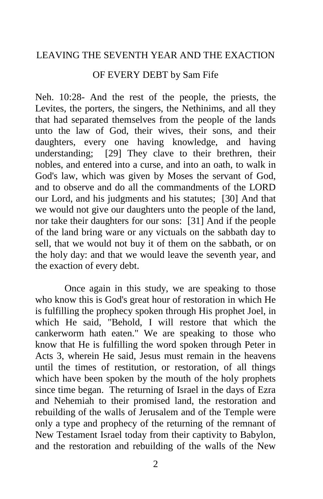## LEAVING THE SEVENTH YEAR AND THE EXACTION

## OF EVERY DEBT by Sam Fife

Neh. 10:28- And the rest of the people, the priests, the Levites, the porters, the singers, the Nethinims, and all they that had separated themselves from the people of the lands unto the law of God, their wives, their sons, and their daughters, every one having knowledge, and having understanding; [29] They clave to their brethren, their nobles, and entered into a curse, and into an oath, to walk in God's law, which was given by Moses the servant of God, and to observe and do all the commandments of the LORD our Lord, and his judgments and his statutes; [30] And that we would not give our daughters unto the people of the land, nor take their daughters for our sons: [31] And if the people of the land bring ware or any victuals on the sabbath day to sell, that we would not buy it of them on the sabbath, or on the holy day: and that we would leave the seventh year, and the exaction of every debt.

Once again in this study, we are speaking to those who know this is God's great hour of restoration in which He is fulfilling the prophecy spoken through His prophet Joel, in which He said, "Behold, I will restore that which the cankerworm hath eaten." We are speaking to those who know that He is fulfilling the word spoken through Peter in Acts 3, wherein He said, Jesus must remain in the heavens until the times of restitution, or restoration, of all things which have been spoken by the mouth of the holy prophets since time began. The returning of Israel in the days of Ezra and Nehemiah to their promised land, the restoration and rebuilding of the walls of Jerusalem and of the Temple were only a type and prophecy of the returning of the remnant of New Testament Israel today from their captivity to Babylon, and the restoration and rebuilding of the walls of the New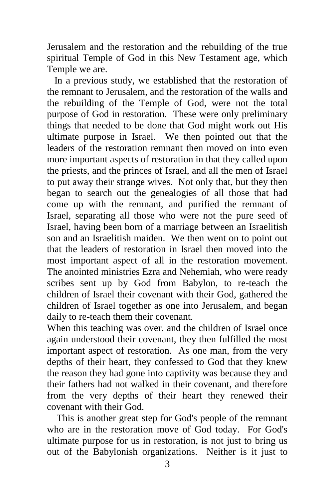Jerusalem and the restoration and the rebuilding of the true spiritual Temple of God in this New Testament age, which Temple we are.

 In a previous study, we established that the restoration of the remnant to Jerusalem, and the restoration of the walls and the rebuilding of the Temple of God, were not the total purpose of God in restoration. These were only preliminary things that needed to be done that God might work out His ultimate purpose in Israel. We then pointed out that the leaders of the restoration remnant then moved on into even more important aspects of restoration in that they called upon the priests, and the princes of Israel, and all the men of Israel to put away their strange wives. Not only that, but they then began to search out the genealogies of all those that had come up with the remnant, and purified the remnant of Israel, separating all those who were not the pure seed of Israel, having been born of a marriage between an Israelitish son and an Israelitish maiden. We then went on to point out that the leaders of restoration in Israel then moved into the most important aspect of all in the restoration movement. The anointed ministries Ezra and Nehemiah, who were ready scribes sent up by God from Babylon, to re-teach the children of Israel their covenant with their God, gathered the children of Israel together as one into Jerusalem, and began daily to re-teach them their covenant.

When this teaching was over, and the children of Israel once again understood their covenant, they then fulfilled the most important aspect of restoration. As one man, from the very depths of their heart, they confessed to God that they knew the reason they had gone into captivity was because they and their fathers had not walked in their covenant, and therefore from the very depths of their heart they renewed their covenant with their God.

 This is another great step for God's people of the remnant who are in the restoration move of God today. For God's ultimate purpose for us in restoration, is not just to bring us out of the Babylonish organizations. Neither is it just to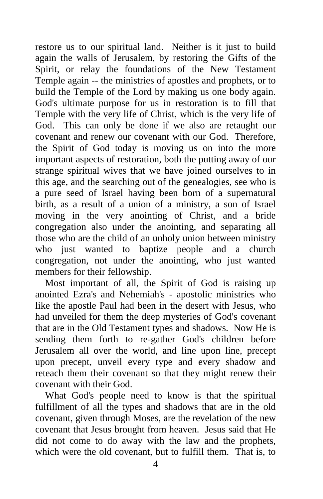restore us to our spiritual land. Neither is it just to build again the walls of Jerusalem, by restoring the Gifts of the Spirit, or relay the foundations of the New Testament Temple again -- the ministries of apostles and prophets, or to build the Temple of the Lord by making us one body again. God's ultimate purpose for us in restoration is to fill that Temple with the very life of Christ, which is the very life of God. This can only be done if we also are retaught our covenant and renew our covenant with our God. Therefore, the Spirit of God today is moving us on into the more important aspects of restoration, both the putting away of our strange spiritual wives that we have joined ourselves to in this age, and the searching out of the genealogies, see who is a pure seed of Israel having been born of a supernatural birth, as a result of a union of a ministry, a son of Israel moving in the very anointing of Christ, and a bride congregation also under the anointing, and separating all those who are the child of an unholy union between ministry who just wanted to baptize people and a church congregation, not under the anointing, who just wanted members for their fellowship.

 Most important of all, the Spirit of God is raising up anointed Ezra's and Nehemiah's - apostolic ministries who like the apostle Paul had been in the desert with Jesus, who had unveiled for them the deep mysteries of God's covenant that are in the Old Testament types and shadows. Now He is sending them forth to re-gather God's children before Jerusalem all over the world, and line upon line, precept upon precept, unveil every type and every shadow and reteach them their covenant so that they might renew their covenant with their God.

 What God's people need to know is that the spiritual fulfillment of all the types and shadows that are in the old covenant, given through Moses, are the revelation of the new covenant that Jesus brought from heaven. Jesus said that He did not come to do away with the law and the prophets, which were the old covenant, but to fulfill them. That is, to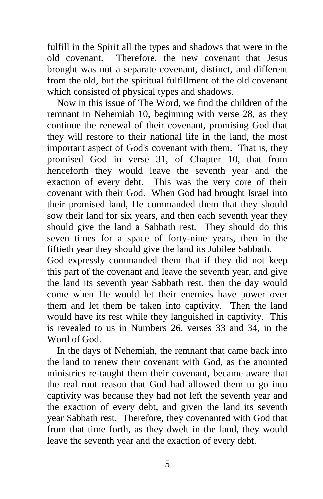fulfill in the Spirit all the types and shadows that were in the old covenant. Therefore, the new covenant that Jesus brought was not a separate covenant, distinct, and different from the old, but the spiritual fulfillment of the old covenant which consisted of physical types and shadows.

 Now in this issue of The Word, we find the children of the remnant in Nehemiah 10, beginning with verse 28, as they continue the renewal of their covenant, promising God that they will restore to their national life in the land, the most important aspect of God's covenant with them. That is, they promised God in verse 31, of Chapter 10, that from henceforth they would leave the seventh year and the exaction of every debt. This was the very core of their covenant with their God. When God had brought Israel into their promised land, He commanded them that they should sow their land for six years, and then each seventh year they should give the land a Sabbath rest. They should do this seven times for a space of forty-nine years, then in the fiftieth year they should give the land its Jubilee Sabbath.

God expressly commanded them that if they did not keep this part of the covenant and leave the seventh year, and give the land its seventh year Sabbath rest, then the day would come when He would let their enemies have power over them and let them be taken into captivity. Then the land would have its rest while they languished in captivity. This is revealed to us in Numbers 26, verses 33 and 34, in the Word of God.

 In the days of Nehemiah, the remnant that came back into the land to renew their covenant with God, as the anointed ministries re-taught them their covenant, became aware that the real root reason that God had allowed them to go into captivity was because they had not left the seventh year and the exaction of every debt, and given the land its seventh year Sabbath rest. Therefore, they covenanted with God that from that time forth, as they dwelt in the land, they would leave the seventh year and the exaction of every debt.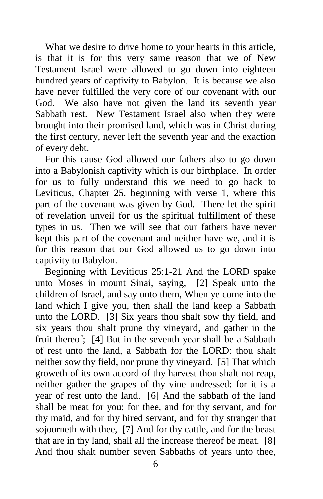What we desire to drive home to your hearts in this article, is that it is for this very same reason that we of New Testament Israel were allowed to go down into eighteen hundred years of captivity to Babylon. It is because we also have never fulfilled the very core of our covenant with our God. We also have not given the land its seventh year Sabbath rest. New Testament Israel also when they were brought into their promised land, which was in Christ during the first century, never left the seventh year and the exaction of every debt.

 For this cause God allowed our fathers also to go down into a Babylonish captivity which is our birthplace. In order for us to fully understand this we need to go back to Leviticus, Chapter 25, beginning with verse 1, where this part of the covenant was given by God. There let the spirit of revelation unveil for us the spiritual fulfillment of these types in us. Then we will see that our fathers have never kept this part of the covenant and neither have we, and it is for this reason that our God allowed us to go down into captivity to Babylon.

 Beginning with Leviticus 25:1-21 And the LORD spake unto Moses in mount Sinai, saying, [2] Speak unto the children of Israel, and say unto them, When ye come into the land which I give you, then shall the land keep a Sabbath unto the LORD. [3] Six years thou shalt sow thy field, and six years thou shalt prune thy vineyard, and gather in the fruit thereof; [4] But in the seventh year shall be a Sabbath of rest unto the land, a Sabbath for the LORD: thou shalt neither sow thy field, nor prune thy vineyard. [5] That which groweth of its own accord of thy harvest thou shalt not reap, neither gather the grapes of thy vine undressed: for it is a year of rest unto the land. [6] And the sabbath of the land shall be meat for you; for thee, and for thy servant, and for thy maid, and for thy hired servant, and for thy stranger that sojourneth with thee, [7] And for thy cattle, and for the beast that are in thy land, shall all the increase thereof be meat. [8] And thou shalt number seven Sabbaths of years unto thee,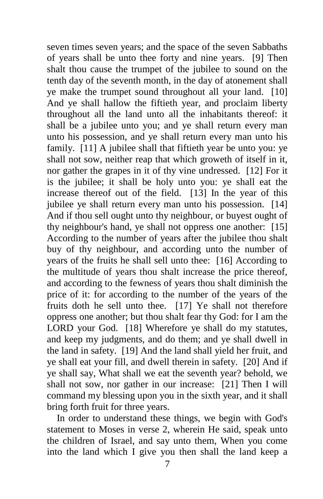seven times seven years; and the space of the seven Sabbaths of years shall be unto thee forty and nine years. [9] Then shalt thou cause the trumpet of the jubilee to sound on the tenth day of the seventh month, in the day of atonement shall ye make the trumpet sound throughout all your land. [10] And ye shall hallow the fiftieth year, and proclaim liberty throughout all the land unto all the inhabitants thereof: it shall be a jubilee unto you; and ye shall return every man unto his possession, and ye shall return every man unto his family. [11] A jubilee shall that fiftieth year be unto you: ye shall not sow, neither reap that which groweth of itself in it, nor gather the grapes in it of thy vine undressed. [12] For it is the jubilee; it shall be holy unto you: ye shall eat the increase thereof out of the field. [13] In the year of this jubilee ye shall return every man unto his possession. [14] And if thou sell ought unto thy neighbour, or buyest ought of thy neighbour's hand, ye shall not oppress one another: [15] According to the number of years after the jubilee thou shalt buy of thy neighbour, and according unto the number of years of the fruits he shall sell unto thee: [16] According to the multitude of years thou shalt increase the price thereof, and according to the fewness of years thou shalt diminish the price of it: for according to the number of the years of the fruits doth he sell unto thee. [17] Ye shall not therefore oppress one another; but thou shalt fear thy God: for I am the LORD your God. [18] Wherefore ye shall do my statutes, and keep my judgments, and do them; and ye shall dwell in the land in safety. [19] And the land shall yield her fruit, and ye shall eat your fill, and dwell therein in safety. [20] And if ye shall say, What shall we eat the seventh year? behold, we shall not sow, nor gather in our increase: [21] Then I will command my blessing upon you in the sixth year, and it shall bring forth fruit for three years.

 In order to understand these things, we begin with God's statement to Moses in verse 2, wherein He said, speak unto the children of Israel, and say unto them, When you come into the land which I give you then shall the land keep a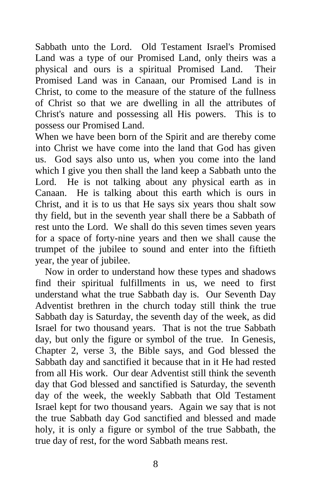Sabbath unto the Lord. Old Testament Israel's Promised Land was a type of our Promised Land, only theirs was a physical and ours is a spiritual Promised Land. Their Promised Land was in Canaan, our Promised Land is in Christ, to come to the measure of the stature of the fullness of Christ so that we are dwelling in all the attributes of Christ's nature and possessing all His powers. This is to possess our Promised Land.

When we have been born of the Spirit and are thereby come into Christ we have come into the land that God has given us. God says also unto us, when you come into the land which I give you then shall the land keep a Sabbath unto the Lord. He is not talking about any physical earth as in Canaan. He is talking about this earth which is ours in Christ, and it is to us that He says six years thou shalt sow thy field, but in the seventh year shall there be a Sabbath of rest unto the Lord. We shall do this seven times seven years for a space of forty-nine years and then we shall cause the trumpet of the jubilee to sound and enter into the fiftieth year, the year of jubilee.

 Now in order to understand how these types and shadows find their spiritual fulfillments in us, we need to first understand what the true Sabbath day is. Our Seventh Day Adventist brethren in the church today still think the true Sabbath day is Saturday, the seventh day of the week, as did Israel for two thousand years. That is not the true Sabbath day, but only the figure or symbol of the true. In Genesis, Chapter 2, verse 3, the Bible says, and God blessed the Sabbath day and sanctified it because that in it He had rested from all His work. Our dear Adventist still think the seventh day that God blessed and sanctified is Saturday, the seventh day of the week, the weekly Sabbath that Old Testament Israel kept for two thousand years. Again we say that is not the true Sabbath day God sanctified and blessed and made holy, it is only a figure or symbol of the true Sabbath, the true day of rest, for the word Sabbath means rest.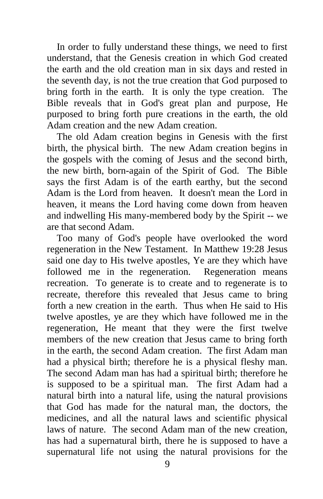In order to fully understand these things, we need to first understand, that the Genesis creation in which God created the earth and the old creation man in six days and rested in the seventh day, is not the true creation that God purposed to bring forth in the earth. It is only the type creation. The Bible reveals that in God's great plan and purpose, He purposed to bring forth pure creations in the earth, the old Adam creation and the new Adam creation.

 The old Adam creation begins in Genesis with the first birth, the physical birth. The new Adam creation begins in the gospels with the coming of Jesus and the second birth, the new birth, born-again of the Spirit of God. The Bible says the first Adam is of the earth earthy, but the second Adam is the Lord from heaven. It doesn't mean the Lord in heaven, it means the Lord having come down from heaven and indwelling His many-membered body by the Spirit -- we are that second Adam.

 Too many of God's people have overlooked the word regeneration in the New Testament. In Matthew 19:28 Jesus said one day to His twelve apostles, Ye are they which have followed me in the regeneration. Regeneration means recreation. To generate is to create and to regenerate is to recreate, therefore this revealed that Jesus came to bring forth a new creation in the earth. Thus when He said to His twelve apostles, ye are they which have followed me in the regeneration, He meant that they were the first twelve members of the new creation that Jesus came to bring forth in the earth, the second Adam creation. The first Adam man had a physical birth; therefore he is a physical fleshy man. The second Adam man has had a spiritual birth; therefore he is supposed to be a spiritual man. The first Adam had a natural birth into a natural life, using the natural provisions that God has made for the natural man, the doctors, the medicines, and all the natural laws and scientific physical laws of nature. The second Adam man of the new creation, has had a supernatural birth, there he is supposed to have a supernatural life not using the natural provisions for the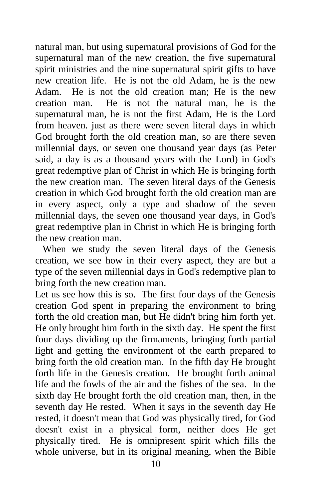natural man, but using supernatural provisions of God for the supernatural man of the new creation, the five supernatural spirit ministries and the nine supernatural spirit gifts to have new creation life. He is not the old Adam, he is the new Adam. He is not the old creation man; He is the new creation man. He is not the natural man, he is the supernatural man, he is not the first Adam, He is the Lord from heaven. just as there were seven literal days in which God brought forth the old creation man, so are there seven millennial days, or seven one thousand year days (as Peter said, a day is as a thousand years with the Lord) in God's great redemptive plan of Christ in which He is bringing forth the new creation man. The seven literal days of the Genesis creation in which God brought forth the old creation man are in every aspect, only a type and shadow of the seven millennial days, the seven one thousand year days, in God's great redemptive plan in Christ in which He is bringing forth the new creation man.

 When we study the seven literal days of the Genesis creation, we see how in their every aspect, they are but a type of the seven millennial days in God's redemptive plan to bring forth the new creation man.

Let us see how this is so. The first four days of the Genesis creation God spent in preparing the environment to bring forth the old creation man, but He didn't bring him forth yet. He only brought him forth in the sixth day. He spent the first four days dividing up the firmaments, bringing forth partial light and getting the environment of the earth prepared to bring forth the old creation man. In the fifth day He brought forth life in the Genesis creation. He brought forth animal life and the fowls of the air and the fishes of the sea. In the sixth day He brought forth the old creation man, then, in the seventh day He rested. When it says in the seventh day He rested, it doesn't mean that God was physically tired, for God doesn't exist in a physical form, neither does He get physically tired. He is omnipresent spirit which fills the whole universe, but in its original meaning, when the Bible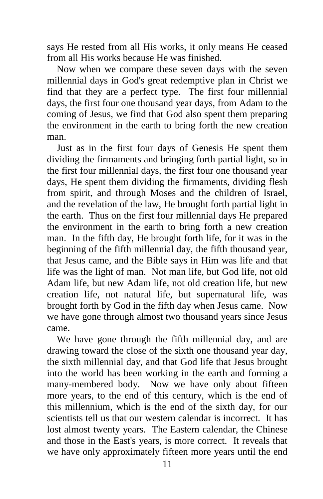says He rested from all His works, it only means He ceased from all His works because He was finished.

 Now when we compare these seven days with the seven millennial days in God's great redemptive plan in Christ we find that they are a perfect type. The first four millennial days, the first four one thousand year days, from Adam to the coming of Jesus, we find that God also spent them preparing the environment in the earth to bring forth the new creation man.

 Just as in the first four days of Genesis He spent them dividing the firmaments and bringing forth partial light, so in the first four millennial days, the first four one thousand year days, He spent them dividing the firmaments, dividing flesh from spirit, and through Moses and the children of Israel, and the revelation of the law, He brought forth partial light in the earth. Thus on the first four millennial days He prepared the environment in the earth to bring forth a new creation man. In the fifth day, He brought forth life, for it was in the beginning of the fifth millennial day, the fifth thousand year, that Jesus came, and the Bible says in Him was life and that life was the light of man. Not man life, but God life, not old Adam life, but new Adam life, not old creation life, but new creation life, not natural life, but supernatural life, was brought forth by God in the fifth day when Jesus came. Now we have gone through almost two thousand years since Jesus came.

 We have gone through the fifth millennial day, and are drawing toward the close of the sixth one thousand year day, the sixth millennial day, and that God life that Jesus brought into the world has been working in the earth and forming a many-membered body. Now we have only about fifteen more years, to the end of this century, which is the end of this millennium, which is the end of the sixth day, for our scientists tell us that our western calendar is incorrect. It has lost almost twenty years. The Eastern calendar, the Chinese and those in the East's years, is more correct. It reveals that we have only approximately fifteen more years until the end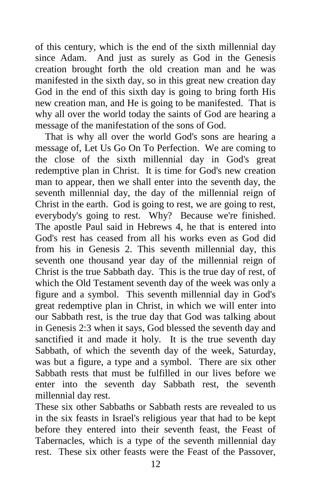of this century, which is the end of the sixth millennial day since Adam. And just as surely as God in the Genesis creation brought forth the old creation man and he was manifested in the sixth day, so in this great new creation day God in the end of this sixth day is going to bring forth His new creation man, and He is going to be manifested. That is why all over the world today the saints of God are hearing a message of the manifestation of the sons of God.

 That is why all over the world God's sons are hearing a message of, Let Us Go On To Perfection. We are coming to the close of the sixth millennial day in God's great redemptive plan in Christ. It is time for God's new creation man to appear, then we shall enter into the seventh day, the seventh millennial day, the day of the millennial reign of Christ in the earth. God is going to rest, we are going to rest, everybody's going to rest. Why? Because we're finished. The apostle Paul said in Hebrews 4, he that is entered into God's rest has ceased from all his works even as God did from his in Genesis 2. This seventh millennial day, this seventh one thousand year day of the millennial reign of Christ is the true Sabbath day. This is the true day of rest, of which the Old Testament seventh day of the week was only a figure and a symbol. This seventh millennial day in God's great redemptive plan in Christ, in which we will enter into our Sabbath rest, is the true day that God was talking about in Genesis 2:3 when it says, God blessed the seventh day and sanctified it and made it holy. It is the true seventh day Sabbath, of which the seventh day of the week, Saturday, was but a figure, a type and a symbol. There are six other Sabbath rests that must be fulfilled in our lives before we enter into the seventh day Sabbath rest, the seventh millennial day rest.

These six other Sabbaths or Sabbath rests are revealed to us in the six feasts in Israel's religious year that had to be kept before they entered into their seventh feast, the Feast of Tabernacles, which is a type of the seventh millennial day rest. These six other feasts were the Feast of the Passover,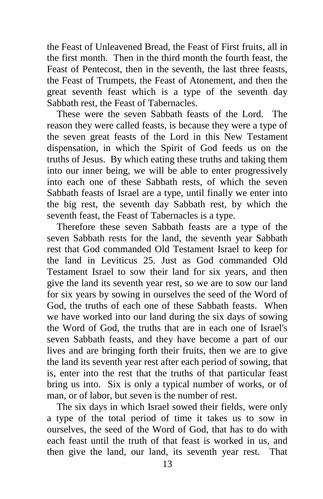the Feast of Unleavened Bread, the Feast of First fruits, all in the first month. Then in the third month the fourth feast, the Feast of Pentecost, then in the seventh, the last three feasts, the Feast of Trumpets, the Feast of Atonement, and then the great seventh feast which is a type of the seventh day Sabbath rest, the Feast of Tabernacles.

 These were the seven Sabbath feasts of the Lord. The reason they were called feasts, is because they were a type of the seven great feasts of the Lord in this New Testament dispensation, in which the Spirit of God feeds us on the truths of Jesus. By which eating these truths and taking them into our inner being, we will be able to enter progressively into each one of these Sabbath rests, of which the seven Sabbath feasts of Israel are a type, until finally we enter into the big rest, the seventh day Sabbath rest, by which the seventh feast, the Feast of Tabernacles is a type.

 Therefore these seven Sabbath feasts are a type of the seven Sabbath rests for the land, the seventh year Sabbath rest that God commanded Old Testament Israel to keep for the land in Leviticus 25. Just as God commanded Old Testament Israel to sow their land for six years, and then give the land its seventh year rest, so we are to sow our land for six years by sowing in ourselves the seed of the Word of God, the truths of each one of these Sabbath feasts. When we have worked into our land during the six days of sowing the Word of God, the truths that are in each one of Israel's seven Sabbath feasts, and they have become a part of our lives and are bringing forth their fruits, then we are to give the land its seventh year rest after each period of sowing, that is, enter into the rest that the truths of that particular feast bring us into. Six is only a typical number of works, or of man, or of labor, but seven is the number of rest.

 The six days in which Israel sowed their fields, were only a type of the total period of time it takes us to sow in ourselves, the seed of the Word of God, that has to do with each feast until the truth of that feast is worked in us, and then give the land, our land, its seventh year rest. That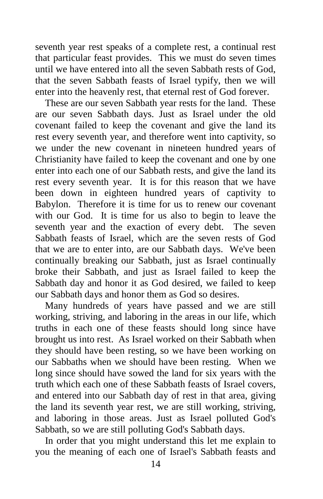seventh year rest speaks of a complete rest, a continual rest that particular feast provides. This we must do seven times until we have entered into all the seven Sabbath rests of God, that the seven Sabbath feasts of Israel typify, then we will enter into the heavenly rest, that eternal rest of God forever.

 These are our seven Sabbath year rests for the land. These are our seven Sabbath days. Just as Israel under the old covenant failed to keep the covenant and give the land its rest every seventh year, and therefore went into captivity, so we under the new covenant in nineteen hundred years of Christianity have failed to keep the covenant and one by one enter into each one of our Sabbath rests, and give the land its rest every seventh year. It is for this reason that we have been down in eighteen hundred years of captivity to Babylon. Therefore it is time for us to renew our covenant with our God. It is time for us also to begin to leave the seventh year and the exaction of every debt. The seven Sabbath feasts of Israel, which are the seven rests of God that we are to enter into, are our Sabbath days. We've been continually breaking our Sabbath, just as Israel continually broke their Sabbath, and just as Israel failed to keep the Sabbath day and honor it as God desired, we failed to keep our Sabbath days and honor them as God so desires.

 Many hundreds of years have passed and we are still working, striving, and laboring in the areas in our life, which truths in each one of these feasts should long since have brought us into rest. As Israel worked on their Sabbath when they should have been resting, so we have been working on our Sabbaths when we should have been resting. When we long since should have sowed the land for six years with the truth which each one of these Sabbath feasts of Israel covers, and entered into our Sabbath day of rest in that area, giving the land its seventh year rest, we are still working, striving, and laboring in those areas. Just as Israel polluted God's Sabbath, so we are still polluting God's Sabbath days.

 In order that you might understand this let me explain to you the meaning of each one of Israel's Sabbath feasts and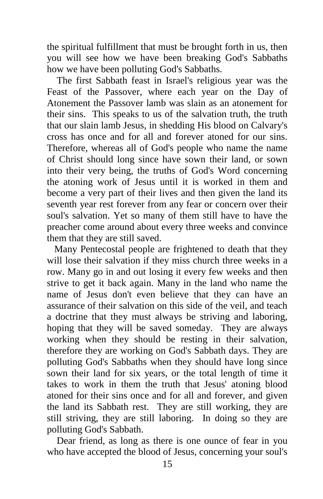the spiritual fulfillment that must be brought forth in us, then you will see how we have been breaking God's Sabbaths how we have been polluting God's Sabbaths.

 The first Sabbath feast in Israel's religious year was the Feast of the Passover, where each year on the Day of Atonement the Passover lamb was slain as an atonement for their sins. This speaks to us of the salvation truth, the truth that our slain lamb Jesus, in shedding His blood on Calvary's cross has once and for all and forever atoned for our sins. Therefore, whereas all of God's people who name the name of Christ should long since have sown their land, or sown into their very being, the truths of God's Word concerning the atoning work of Jesus until it is worked in them and become a very part of their lives and then given the land its seventh year rest forever from any fear or concern over their soul's salvation. Yet so many of them still have to have the preacher come around about every three weeks and convince them that they are still saved.

 Many Pentecostal people are frightened to death that they will lose their salvation if they miss church three weeks in a row. Many go in and out losing it every few weeks and then strive to get it back again. Many in the land who name the name of Jesus don't even believe that they can have an assurance of their salvation on this side of the veil, and teach a doctrine that they must always be striving and laboring, hoping that they will be saved someday. They are always working when they should be resting in their salvation, therefore they are working on God's Sabbath days. They are polluting God's Sabbaths when they should have long since sown their land for six years, or the total length of time it takes to work in them the truth that Jesus' atoning blood atoned for their sins once and for all and forever, and given the land its Sabbath rest. They are still working, they are still striving, they are still laboring. In doing so they are polluting God's Sabbath.

 Dear friend, as long as there is one ounce of fear in you who have accepted the blood of Jesus, concerning your soul's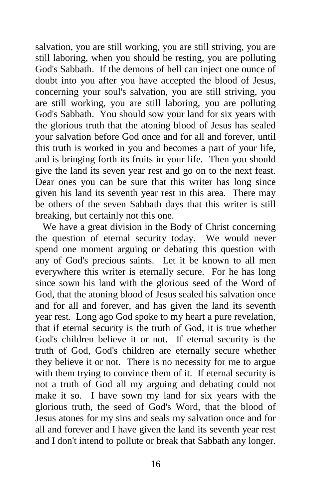salvation, you are still working, you are still striving, you are still laboring, when you should be resting, you are polluting God's Sabbath. If the demons of hell can inject one ounce of doubt into you after you have accepted the blood of Jesus, concerning your soul's salvation, you are still striving, you are still working, you are still laboring, you are polluting God's Sabbath. You should sow your land for six years with the glorious truth that the atoning blood of Jesus has sealed your salvation before God once and for all and forever, until this truth is worked in you and becomes a part of your life, and is bringing forth its fruits in your life. Then you should give the land its seven year rest and go on to the next feast. Dear ones you can be sure that this writer has long since given his land its seventh year rest in this area. There may be others of the seven Sabbath days that this writer is still breaking, but certainly not this one.

 We have a great division in the Body of Christ concerning the question of eternal security today. We would never spend one moment arguing or debating this question with any of God's precious saints. Let it be known to all men everywhere this writer is eternally secure. For he has long since sown his land with the glorious seed of the Word of God, that the atoning blood of Jesus sealed his salvation once and for all and forever, and has given the land its seventh year rest. Long ago God spoke to my heart a pure revelation, that if eternal security is the truth of God, it is true whether God's children believe it or not. If eternal security is the truth of God, God's children are eternally secure whether they believe it or not. There is no necessity for me to argue with them trying to convince them of it. If eternal security is not a truth of God all my arguing and debating could not make it so. I have sown my land for six years with the glorious truth, the seed of God's Word, that the blood of Jesus atones for my sins and seals my salvation once and for all and forever and I have given the land its seventh year rest and I don't intend to pollute or break that Sabbath any longer.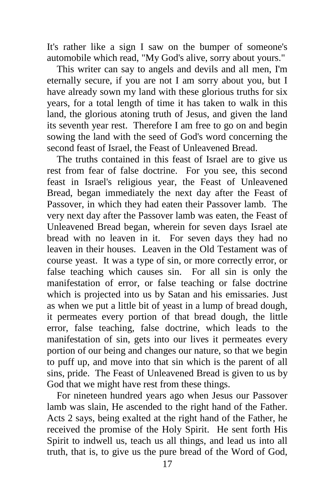It's rather like a sign I saw on the bumper of someone's automobile which read, "My God's alive, sorry about yours."

 This writer can say to angels and devils and all men, I'm eternally secure, if you are not I am sorry about you, but I have already sown my land with these glorious truths for six years, for a total length of time it has taken to walk in this land, the glorious atoning truth of Jesus, and given the land its seventh year rest. Therefore I am free to go on and begin sowing the land with the seed of God's word concerning the second feast of Israel, the Feast of Unleavened Bread.

 The truths contained in this feast of Israel are to give us rest from fear of false doctrine. For you see, this second feast in Israel's religious year, the Feast of Unleavened Bread, began immediately the next day after the Feast of Passover, in which they had eaten their Passover lamb. The very next day after the Passover lamb was eaten, the Feast of Unleavened Bread began, wherein for seven days Israel ate bread with no leaven in it. For seven days they had no leaven in their houses. Leaven in the Old Testament was of course yeast. It was a type of sin, or more correctly error, or false teaching which causes sin. For all sin is only the manifestation of error, or false teaching or false doctrine which is projected into us by Satan and his emissaries. Just as when we put a little bit of yeast in a lump of bread dough, it permeates every portion of that bread dough, the little error, false teaching, false doctrine, which leads to the manifestation of sin, gets into our lives it permeates every portion of our being and changes our nature, so that we begin to puff up, and move into that sin which is the parent of all sins, pride. The Feast of Unleavened Bread is given to us by God that we might have rest from these things.

 For nineteen hundred years ago when Jesus our Passover lamb was slain, He ascended to the right hand of the Father. Acts 2 says, being exalted at the right hand of the Father, he received the promise of the Holy Spirit. He sent forth His Spirit to indwell us, teach us all things, and lead us into all truth, that is, to give us the pure bread of the Word of God,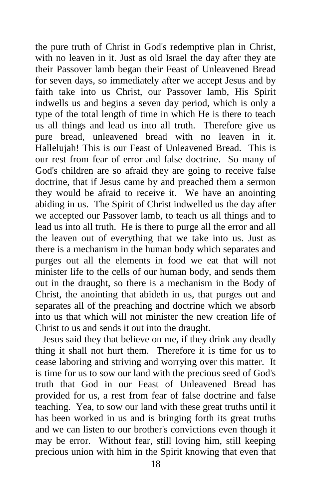the pure truth of Christ in God's redemptive plan in Christ, with no leaven in it. Just as old Israel the day after they ate their Passover lamb began their Feast of Unleavened Bread for seven days, so immediately after we accept Jesus and by faith take into us Christ, our Passover lamb, His Spirit indwells us and begins a seven day period, which is only a type of the total length of time in which He is there to teach us all things and lead us into all truth. Therefore give us pure bread, unleavened bread with no leaven in it. Hallelujah! This is our Feast of Unleavened Bread. This is our rest from fear of error and false doctrine. So many of God's children are so afraid they are going to receive false doctrine, that if Jesus came by and preached them a sermon they would be afraid to receive it. We have an anointing abiding in us. The Spirit of Christ indwelled us the day after we accepted our Passover lamb, to teach us all things and to lead us into all truth. He is there to purge all the error and all the leaven out of everything that we take into us. Just as there is a mechanism in the human body which separates and purges out all the elements in food we eat that will not minister life to the cells of our human body, and sends them out in the draught, so there is a mechanism in the Body of Christ, the anointing that abideth in us, that purges out and separates all of the preaching and doctrine which we absorb into us that which will not minister the new creation life of Christ to us and sends it out into the draught.

 Jesus said they that believe on me, if they drink any deadly thing it shall not hurt them. Therefore it is time for us to cease laboring and striving and worrying over this matter. It is time for us to sow our land with the precious seed of God's truth that God in our Feast of Unleavened Bread has provided for us, a rest from fear of false doctrine and false teaching. Yea, to sow our land with these great truths until it has been worked in us and is bringing forth its great truths and we can listen to our brother's convictions even though it may be error. Without fear, still loving him, still keeping precious union with him in the Spirit knowing that even that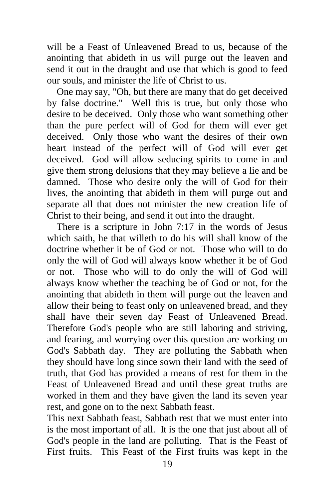will be a Feast of Unleavened Bread to us, because of the anointing that abideth in us will purge out the leaven and send it out in the draught and use that which is good to feed our souls, and minister the life of Christ to us.

 One may say, "Oh, but there are many that do get deceived by false doctrine." Well this is true, but only those who desire to be deceived. Only those who want something other than the pure perfect will of God for them will ever get deceived. Only those who want the desires of their own heart instead of the perfect will of God will ever get deceived. God will allow seducing spirits to come in and give them strong delusions that they may believe a lie and be damned. Those who desire only the will of God for their lives, the anointing that abideth in them will purge out and separate all that does not minister the new creation life of Christ to their being, and send it out into the draught.

 There is a scripture in John 7:17 in the words of Jesus which saith, he that willeth to do his will shall know of the doctrine whether it be of God or not. Those who will to do only the will of God will always know whether it be of God or not. Those who will to do only the will of God will always know whether the teaching be of God or not, for the anointing that abideth in them will purge out the leaven and allow their being to feast only on unleavened bread, and they shall have their seven day Feast of Unleavened Bread. Therefore God's people who are still laboring and striving, and fearing, and worrying over this question are working on God's Sabbath day. They are polluting the Sabbath when they should have long since sown their land with the seed of truth, that God has provided a means of rest for them in the Feast of Unleavened Bread and until these great truths are worked in them and they have given the land its seven year rest, and gone on to the next Sabbath feast.

This next Sabbath feast, Sabbath rest that we must enter into is the most important of all. It is the one that just about all of God's people in the land are polluting. That is the Feast of First fruits. This Feast of the First fruits was kept in the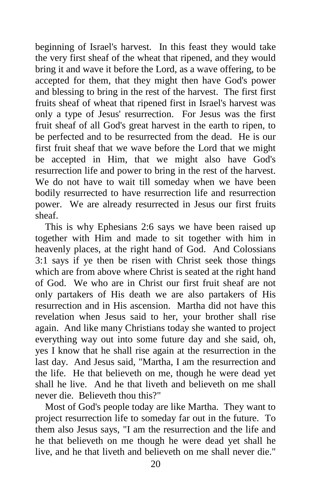beginning of Israel's harvest. In this feast they would take the very first sheaf of the wheat that ripened, and they would bring it and wave it before the Lord, as a wave offering, to be accepted for them, that they might then have God's power and blessing to bring in the rest of the harvest. The first first fruits sheaf of wheat that ripened first in Israel's harvest was only a type of Jesus' resurrection. For Jesus was the first fruit sheaf of all God's great harvest in the earth to ripen, to be perfected and to be resurrected from the dead. He is our first fruit sheaf that we wave before the Lord that we might be accepted in Him, that we might also have God's resurrection life and power to bring in the rest of the harvest. We do not have to wait till someday when we have been bodily resurrected to have resurrection life and resurrection power. We are already resurrected in Jesus our first fruits sheaf.

 This is why Ephesians 2:6 says we have been raised up together with Him and made to sit together with him in heavenly places, at the right hand of God. And Colossians 3:1 says if ye then be risen with Christ seek those things which are from above where Christ is seated at the right hand of God. We who are in Christ our first fruit sheaf are not only partakers of His death we are also partakers of His resurrection and in His ascension. Martha did not have this revelation when Jesus said to her, your brother shall rise again. And like many Christians today she wanted to project everything way out into some future day and she said, oh, yes I know that he shall rise again at the resurrection in the last day. And Jesus said, "Martha, I am the resurrection and the life. He that believeth on me, though he were dead yet shall he live. And he that liveth and believeth on me shall never die. Believeth thou this?"

 Most of God's people today are like Martha. They want to project resurrection life to someday far out in the future. To them also Jesus says, "I am the resurrection and the life and he that believeth on me though he were dead yet shall he live, and he that liveth and believeth on me shall never die."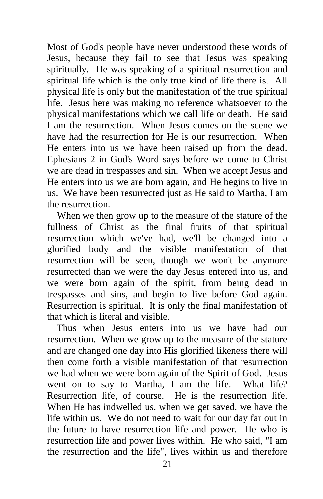Most of God's people have never understood these words of Jesus, because they fail to see that Jesus was speaking spiritually. He was speaking of a spiritual resurrection and spiritual life which is the only true kind of life there is. All physical life is only but the manifestation of the true spiritual life. Jesus here was making no reference whatsoever to the physical manifestations which we call life or death. He said I am the resurrection. When Jesus comes on the scene we have had the resurrection for He is our resurrection. When He enters into us we have been raised up from the dead. Ephesians 2 in God's Word says before we come to Christ we are dead in trespasses and sin. When we accept Jesus and He enters into us we are born again, and He begins to live in us. We have been resurrected just as He said to Martha, I am the resurrection.

 When we then grow up to the measure of the stature of the fullness of Christ as the final fruits of that spiritual resurrection which we've had, we'll be changed into a glorified body and the visible manifestation of that resurrection will be seen, though we won't be anymore resurrected than we were the day Jesus entered into us, and we were born again of the spirit, from being dead in trespasses and sins, and begin to live before God again. Resurrection is spiritual. It is only the final manifestation of that which is literal and visible.

 Thus when Jesus enters into us we have had our resurrection. When we grow up to the measure of the stature and are changed one day into His glorified likeness there will then come forth a visible manifestation of that resurrection we had when we were born again of the Spirit of God. Jesus went on to say to Martha, I am the life. What life? Resurrection life, of course. He is the resurrection life. When He has indwelled us, when we get saved, we have the life within us. We do not need to wait for our day far out in the future to have resurrection life and power. He who is resurrection life and power lives within. He who said, "I am the resurrection and the life", lives within us and therefore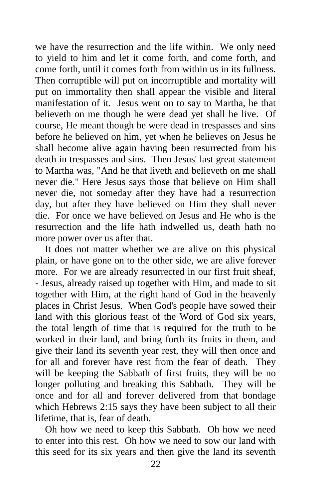we have the resurrection and the life within. We only need to yield to him and let it come forth, and come forth, and come forth, until it comes forth from within us in its fullness. Then corruptible will put on incorruptible and mortality will put on immortality then shall appear the visible and literal manifestation of it. Jesus went on to say to Martha, he that believeth on me though he were dead yet shall he live. Of course, He meant though he were dead in trespasses and sins before he believed on him, yet when he believes on Jesus he shall become alive again having been resurrected from his death in trespasses and sins. Then Jesus' last great statement to Martha was, "And he that liveth and believeth on me shall never die." Here Jesus says those that believe on Him shall never die, not someday after they have had a resurrection day, but after they have believed on Him they shall never die. For once we have believed on Jesus and He who is the resurrection and the life hath indwelled us, death hath no more power over us after that.

 It does not matter whether we are alive on this physical plain, or have gone on to the other side, we are alive forever more. For we are already resurrected in our first fruit sheaf, - Jesus, already raised up together with Him, and made to sit together with Him, at the right hand of God in the heavenly places in Christ Jesus. When God's people have sowed their land with this glorious feast of the Word of God six years, the total length of time that is required for the truth to be worked in their land, and bring forth its fruits in them, and give their land its seventh year rest, they will then once and for all and forever have rest from the fear of death. They will be keeping the Sabbath of first fruits, they will be no longer polluting and breaking this Sabbath. They will be once and for all and forever delivered from that bondage which Hebrews 2:15 says they have been subject to all their lifetime, that is, fear of death.

 Oh how we need to keep this Sabbath. Oh how we need to enter into this rest. Oh how we need to sow our land with this seed for its six years and then give the land its seventh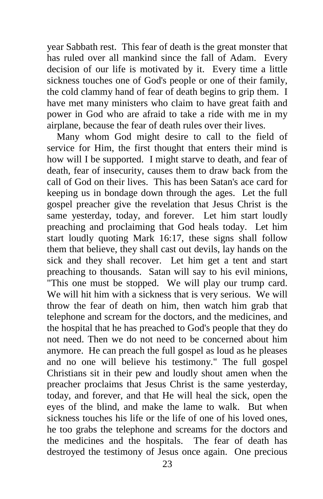year Sabbath rest. This fear of death is the great monster that has ruled over all mankind since the fall of Adam. Every decision of our life is motivated by it. Every time a little sickness touches one of God's people or one of their family, the cold clammy hand of fear of death begins to grip them. I have met many ministers who claim to have great faith and power in God who are afraid to take a ride with me in my airplane, because the fear of death rules over their lives.

 Many whom God might desire to call to the field of service for Him, the first thought that enters their mind is how will I be supported. I might starve to death, and fear of death, fear of insecurity, causes them to draw back from the call of God on their lives. This has been Satan's ace card for keeping us in bondage down through the ages. Let the full gospel preacher give the revelation that Jesus Christ is the same yesterday, today, and forever. Let him start loudly preaching and proclaiming that God heals today. Let him start loudly quoting Mark 16:17, these signs shall follow them that believe, they shall cast out devils, lay hands on the sick and they shall recover. Let him get a tent and start preaching to thousands. Satan will say to his evil minions, "This one must be stopped. We will play our trump card. We will hit him with a sickness that is very serious. We will throw the fear of death on him, then watch him grab that telephone and scream for the doctors, and the medicines, and the hospital that he has preached to God's people that they do not need. Then we do not need to be concerned about him anymore. He can preach the full gospel as loud as he pleases and no one will believe his testimony." The full gospel Christians sit in their pew and loudly shout amen when the preacher proclaims that Jesus Christ is the same yesterday, today, and forever, and that He will heal the sick, open the eyes of the blind, and make the lame to walk. But when sickness touches his life or the life of one of his loved ones, he too grabs the telephone and screams for the doctors and the medicines and the hospitals. The fear of death has destroyed the testimony of Jesus once again. One precious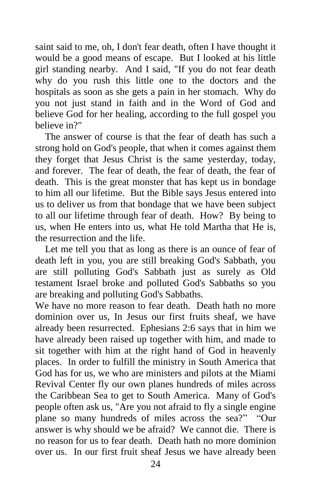saint said to me, oh, I don't fear death, often I have thought it would be a good means of escape. But I looked at his little girl standing nearby. And I said, "If you do not fear death why do you rush this little one to the doctors and the hospitals as soon as she gets a pain in her stomach. Why do you not just stand in faith and in the Word of God and believe God for her healing, according to the full gospel you believe in?"

 The answer of course is that the fear of death has such a strong hold on God's people, that when it comes against them they forget that Jesus Christ is the same yesterday, today, and forever. The fear of death, the fear of death, the fear of death. This is the great monster that has kept us in bondage to him all our lifetime. But the Bible says Jesus entered into us to deliver us from that bondage that we have been subject to all our lifetime through fear of death. How? By being to us, when He enters into us, what He told Martha that He is, the resurrection and the life.

 Let me tell you that as long as there is an ounce of fear of death left in you, you are still breaking God's Sabbath, you are still polluting God's Sabbath just as surely as Old testament Israel broke and polluted God's Sabbaths so you are breaking and polluting God's Sabbaths.

We have no more reason to fear death. Death hath no more dominion over us, In Jesus our first fruits sheaf, we have already been resurrected. Ephesians 2:6 says that in him we have already been raised up together with him, and made to sit together with him at the right hand of God in heavenly places. In order to fulfill the ministry in South America that God has for us, we who are ministers and pilots at the Miami Revival Center fly our own planes hundreds of miles across the Caribbean Sea to get to South America. Many of God's people often ask us, "Are you not afraid to fly a single engine plane so many hundreds of miles across the sea?" "Our answer is why should we be afraid? We cannot die. There is no reason for us to fear death. Death hath no more dominion over us. In our first fruit sheaf Jesus we have already been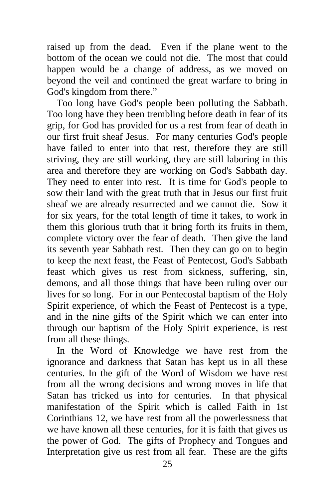raised up from the dead. Even if the plane went to the bottom of the ocean we could not die. The most that could happen would be a change of address, as we moved on beyond the veil and continued the great warfare to bring in God's kingdom from there."

 Too long have God's people been polluting the Sabbath. Too long have they been trembling before death in fear of its grip, for God has provided for us a rest from fear of death in our first fruit sheaf Jesus. For many centuries God's people have failed to enter into that rest, therefore they are still striving, they are still working, they are still laboring in this area and therefore they are working on God's Sabbath day. They need to enter into rest. It is time for God's people to sow their land with the great truth that in Jesus our first fruit sheaf we are already resurrected and we cannot die. Sow it for six years, for the total length of time it takes, to work in them this glorious truth that it bring forth its fruits in them, complete victory over the fear of death. Then give the land its seventh year Sabbath rest. Then they can go on to begin to keep the next feast, the Feast of Pentecost, God's Sabbath feast which gives us rest from sickness, suffering, sin, demons, and all those things that have been ruling over our lives for so long. For in our Pentecostal baptism of the Holy Spirit experience, of which the Feast of Pentecost is a type, and in the nine gifts of the Spirit which we can enter into through our baptism of the Holy Spirit experience, is rest from all these things.

 In the Word of Knowledge we have rest from the ignorance and darkness that Satan has kept us in all these centuries. In the gift of the Word of Wisdom we have rest from all the wrong decisions and wrong moves in life that Satan has tricked us into for centuries. In that physical manifestation of the Spirit which is called Faith in 1st Corinthians 12, we have rest from all the powerlessness that we have known all these centuries, for it is faith that gives us the power of God. The gifts of Prophecy and Tongues and Interpretation give us rest from all fear. These are the gifts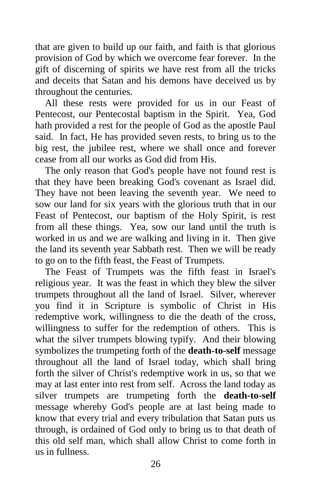that are given to build up our faith, and faith is that glorious provision of God by which we overcome fear forever. In the gift of discerning of spirits we have rest from all the tricks and deceits that Satan and his demons have deceived us by throughout the centuries.

 All these rests were provided for us in our Feast of Pentecost, our Pentecostal baptism in the Spirit. Yea, God hath provided a rest for the people of God as the apostle Paul said. In fact, He has provided seven rests, to bring us to the big rest, the jubilee rest, where we shall once and forever cease from all our works as God did from His.

 The only reason that God's people have not found rest is that they have been breaking God's covenant as Israel did. They have not been leaving the seventh year. We need to sow our land for six years with the glorious truth that in our Feast of Pentecost, our baptism of the Holy Spirit, is rest from all these things. Yea, sow our land until the truth is worked in us and we are walking and living in it. Then give the land its seventh year Sabbath rest. Then we will be ready to go on to the fifth feast, the Feast of Trumpets.

 The Feast of Trumpets was the fifth feast in Israel's religious year. It was the feast in which they blew the silver trumpets throughout all the land of Israel. Silver, wherever you find it in Scripture is symbolic of Christ in His redemptive work, willingness to die the death of the cross, willingness to suffer for the redemption of others. This is what the silver trumpets blowing typify. And their blowing symbolizes the trumpeting forth of the **death-to-self** message throughout all the land of Israel today, which shall bring forth the silver of Christ's redemptive work in us, so that we may at last enter into rest from self. Across the land today as silver trumpets are trumpeting forth the **death-to-self** message whereby God's people are at last being made to know that every trial and every tribulation that Satan puts us through, is ordained of God only to bring us to that death of this old self man, which shall allow Christ to come forth in us in fullness.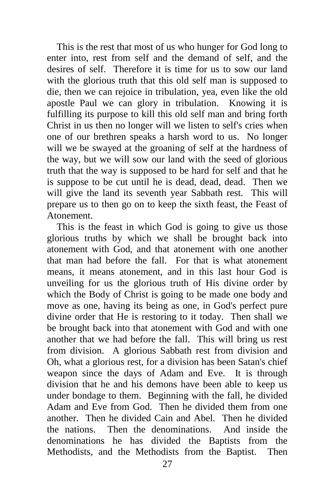This is the rest that most of us who hunger for God long to enter into, rest from self and the demand of self, and the desires of self. Therefore it is time for us to sow our land with the glorious truth that this old self man is supposed to die, then we can rejoice in tribulation, yea, even like the old apostle Paul we can glory in tribulation. Knowing it is fulfilling its purpose to kill this old self man and bring forth Christ in us then no longer will we listen to self's cries when one of our brethren speaks a harsh word to us. No longer will we be swayed at the groaning of self at the hardness of the way, but we will sow our land with the seed of glorious truth that the way is supposed to be hard for self and that he is suppose to be cut until he is dead, dead, dead. Then we will give the land its seventh year Sabbath rest. This will prepare us to then go on to keep the sixth feast, the Feast of Atonement.

 This is the feast in which God is going to give us those glorious truths by which we shall be brought back into atonement with God, and that atonement with one another that man had before the fall. For that is what atonement means, it means atonement, and in this last hour God is unveiling for us the glorious truth of His divine order by which the Body of Christ is going to be made one body and move as one, having its being as one, in God's perfect pure divine order that He is restoring to it today. Then shall we be brought back into that atonement with God and with one another that we had before the fall. This will bring us rest from division. A glorious Sabbath rest from division and Oh, what a glorious rest, for a division has been Satan's chief weapon since the days of Adam and Eve. It is through division that he and his demons have been able to keep us under bondage to them. Beginning with the fall, he divided Adam and Eve from God. Then he divided them from one another. Then he divided Cain and Abel. Then he divided the nations. Then the denominations. And inside the denominations he has divided the Baptists from the Methodists, and the Methodists from the Baptist. Then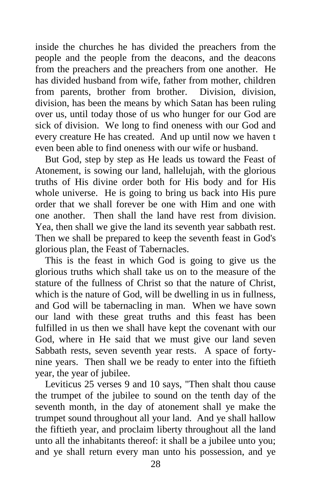inside the churches he has divided the preachers from the people and the people from the deacons, and the deacons from the preachers and the preachers from one another. He has divided husband from wife, father from mother, children from parents, brother from brother. Division, division, division, has been the means by which Satan has been ruling over us, until today those of us who hunger for our God are sick of division. We long to find oneness with our God and every creature He has created. And up until now we haven t even been able to find oneness with our wife or husband.

 But God, step by step as He leads us toward the Feast of Atonement, is sowing our land, hallelujah, with the glorious truths of His divine order both for His body and for His whole universe. He is going to bring us back into His pure order that we shall forever be one with Him and one with one another. Then shall the land have rest from division. Yea, then shall we give the land its seventh year sabbath rest. Then we shall be prepared to keep the seventh feast in God's glorious plan, the Feast of Tabernacles.

 This is the feast in which God is going to give us the glorious truths which shall take us on to the measure of the stature of the fullness of Christ so that the nature of Christ, which is the nature of God, will be dwelling in us in fullness, and God will be tabernacling in man. When we have sown our land with these great truths and this feast has been fulfilled in us then we shall have kept the covenant with our God, where in He said that we must give our land seven Sabbath rests, seven seventh year rests. A space of fortynine years. Then shall we be ready to enter into the fiftieth year, the year of jubilee.

 Leviticus 25 verses 9 and 10 says, "Then shalt thou cause the trumpet of the jubilee to sound on the tenth day of the seventh month, in the day of atonement shall ye make the trumpet sound throughout all your land. And ye shall hallow the fiftieth year, and proclaim liberty throughout all the land unto all the inhabitants thereof: it shall be a jubilee unto you; and ye shall return every man unto his possession, and ye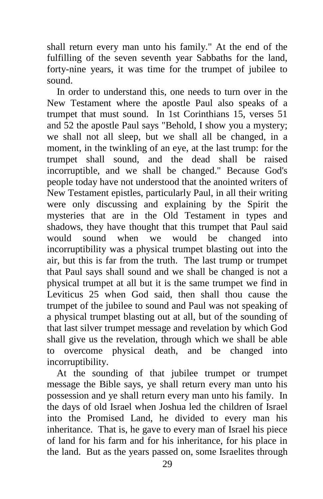shall return every man unto his family." At the end of the fulfilling of the seven seventh year Sabbaths for the land, forty-nine years, it was time for the trumpet of jubilee to sound.

 In order to understand this, one needs to turn over in the New Testament where the apostle Paul also speaks of a trumpet that must sound. In 1st Corinthians 15, verses 51 and 52 the apostle Paul says "Behold, I show you a mystery; we shall not all sleep, but we shall all be changed, in a moment, in the twinkling of an eye, at the last trump: for the trumpet shall sound, and the dead shall be raised incorruptible, and we shall be changed." Because God's people today have not understood that the anointed writers of New Testament epistles, particularly Paul, in all their writing were only discussing and explaining by the Spirit the mysteries that are in the Old Testament in types and shadows, they have thought that this trumpet that Paul said would sound when we would be changed into incorruptibility was a physical trumpet blasting out into the air, but this is far from the truth. The last trump or trumpet that Paul says shall sound and we shall be changed is not a physical trumpet at all but it is the same trumpet we find in Leviticus 25 when God said, then shall thou cause the trumpet of the jubilee to sound and Paul was not speaking of a physical trumpet blasting out at all, but of the sounding of that last silver trumpet message and revelation by which God shall give us the revelation, through which we shall be able to overcome physical death, and be changed into incorruptibility.

 At the sounding of that jubilee trumpet or trumpet message the Bible says, ye shall return every man unto his possession and ye shall return every man unto his family. In the days of old Israel when Joshua led the children of Israel into the Promised Land, he divided to every man his inheritance. That is, he gave to every man of Israel his piece of land for his farm and for his inheritance, for his place in the land. But as the years passed on, some Israelites through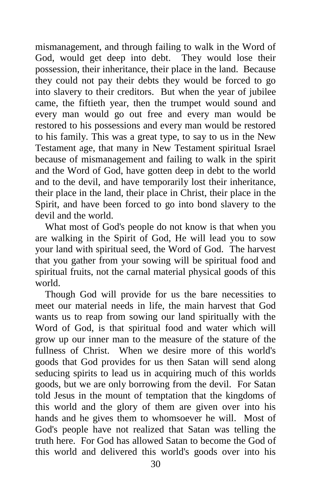mismanagement, and through failing to walk in the Word of God, would get deep into debt. They would lose their possession, their inheritance, their place in the land. Because they could not pay their debts they would be forced to go into slavery to their creditors. But when the year of jubilee came, the fiftieth year, then the trumpet would sound and every man would go out free and every man would be restored to his possessions and every man would be restored to his family. This was a great type, to say to us in the New Testament age, that many in New Testament spiritual Israel because of mismanagement and failing to walk in the spirit and the Word of God, have gotten deep in debt to the world and to the devil, and have temporarily lost their inheritance, their place in the land, their place in Christ, their place in the Spirit, and have been forced to go into bond slavery to the devil and the world.

 What most of God's people do not know is that when you are walking in the Spirit of God, He will lead you to sow your land with spiritual seed, the Word of God. The harvest that you gather from your sowing will be spiritual food and spiritual fruits, not the carnal material physical goods of this world.

 Though God will provide for us the bare necessities to meet our material needs in life, the main harvest that God wants us to reap from sowing our land spiritually with the Word of God, is that spiritual food and water which will grow up our inner man to the measure of the stature of the fullness of Christ. When we desire more of this world's goods that God provides for us then Satan will send along seducing spirits to lead us in acquiring much of this worlds goods, but we are only borrowing from the devil. For Satan told Jesus in the mount of temptation that the kingdoms of this world and the glory of them are given over into his hands and he gives them to whomsoever he will. Most of God's people have not realized that Satan was telling the truth here. For God has allowed Satan to become the God of this world and delivered this world's goods over into his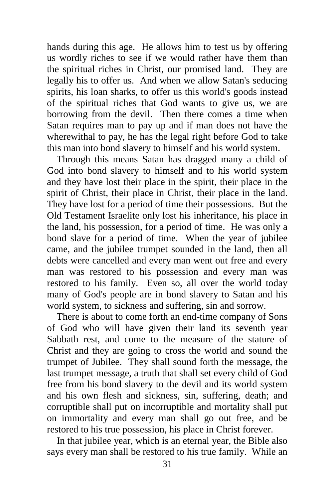hands during this age. He allows him to test us by offering us wordly riches to see if we would rather have them than the spiritual riches in Christ, our promised land. They are legally his to offer us. And when we allow Satan's seducing spirits, his loan sharks, to offer us this world's goods instead of the spiritual riches that God wants to give us, we are borrowing from the devil. Then there comes a time when Satan requires man to pay up and if man does not have the wherewithal to pay, he has the legal right before God to take this man into bond slavery to himself and his world system.

 Through this means Satan has dragged many a child of God into bond slavery to himself and to his world system and they have lost their place in the spirit, their place in the spirit of Christ, their place in Christ, their place in the land. They have lost for a period of time their possessions. But the Old Testament Israelite only lost his inheritance, his place in the land, his possession, for a period of time. He was only a bond slave for a period of time. When the year of jubilee came, and the jubilee trumpet sounded in the land, then all debts were cancelled and every man went out free and every man was restored to his possession and every man was restored to his family. Even so, all over the world today many of God's people are in bond slavery to Satan and his world system, to sickness and suffering, sin and sorrow.

 There is about to come forth an end-time company of Sons of God who will have given their land its seventh year Sabbath rest, and come to the measure of the stature of Christ and they are going to cross the world and sound the trumpet of Jubilee. They shall sound forth the message, the last trumpet message, a truth that shall set every child of God free from his bond slavery to the devil and its world system and his own flesh and sickness, sin, suffering, death; and corruptible shall put on incorruptible and mortality shall put on immortality and every man shall go out free, and be restored to his true possession, his place in Christ forever.

 In that jubilee year, which is an eternal year, the Bible also says every man shall be restored to his true family. While an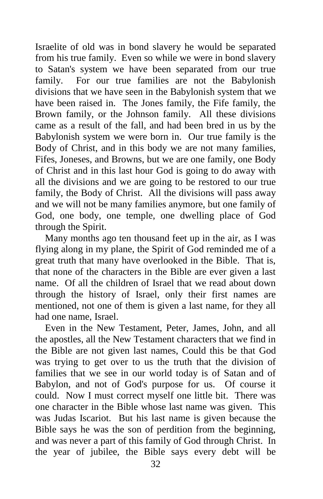Israelite of old was in bond slavery he would be separated from his true family. Even so while we were in bond slavery to Satan's system we have been separated from our true family. For our true families are not the Babylonish divisions that we have seen in the Babylonish system that we have been raised in. The Jones family, the Fife family, the Brown family, or the Johnson family. All these divisions came as a result of the fall, and had been bred in us by the Babylonish system we were born in. Our true family is the Body of Christ, and in this body we are not many families, Fifes, Joneses, and Browns, but we are one family, one Body of Christ and in this last hour God is going to do away with all the divisions and we are going to be restored to our true family, the Body of Christ. All the divisions will pass away and we will not be many families anymore, but one family of God, one body, one temple, one dwelling place of God through the Spirit.

 Many months ago ten thousand feet up in the air, as I was flying along in my plane, the Spirit of God reminded me of a great truth that many have overlooked in the Bible. That is, that none of the characters in the Bible are ever given a last name. Of all the children of Israel that we read about down through the history of Israel, only their first names are mentioned, not one of them is given a last name, for they all had one name, Israel.

 Even in the New Testament, Peter, James, John, and all the apostles, all the New Testament characters that we find in the Bible are not given last names, Could this be that God was trying to get over to us the truth that the division of families that we see in our world today is of Satan and of Babylon, and not of God's purpose for us. Of course it could. Now I must correct myself one little bit. There was one character in the Bible whose last name was given. This was Judas Iscariot. But his last name is given because the Bible says he was the son of perdition from the beginning, and was never a part of this family of God through Christ. In the year of jubilee, the Bible says every debt will be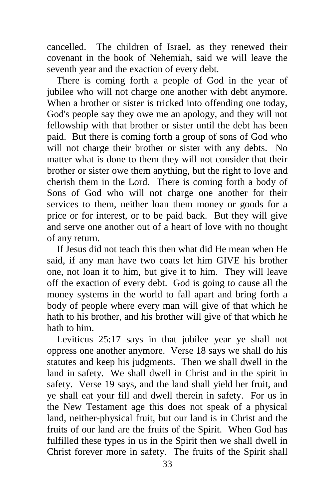cancelled. The children of Israel, as they renewed their covenant in the book of Nehemiah, said we will leave the seventh year and the exaction of every debt.

 There is coming forth a people of God in the year of jubilee who will not charge one another with debt anymore. When a brother or sister is tricked into offending one today, God's people say they owe me an apology, and they will not fellowship with that brother or sister until the debt has been paid. But there is coming forth a group of sons of God who will not charge their brother or sister with any debts. No matter what is done to them they will not consider that their brother or sister owe them anything, but the right to love and cherish them in the Lord. There is coming forth a body of Sons of God who will not charge one another for their services to them, neither loan them money or goods for a price or for interest, or to be paid back. But they will give and serve one another out of a heart of love with no thought of any return.

 If Jesus did not teach this then what did He mean when He said, if any man have two coats let him GIVE his brother one, not loan it to him, but give it to him. They will leave off the exaction of every debt. God is going to cause all the money systems in the world to fall apart and bring forth a body of people where every man will give of that which he hath to his brother, and his brother will give of that which he hath to him.

 Leviticus 25:17 says in that jubilee year ye shall not oppress one another anymore. Verse 18 says we shall do his statutes and keep his judgments. Then we shall dwell in the land in safety. We shall dwell in Christ and in the spirit in safety. Verse 19 says, and the land shall yield her fruit, and ye shall eat your fill and dwell therein in safety. For us in the New Testament age this does not speak of a physical land, neither-physical fruit, but our land is in Christ and the fruits of our land are the fruits of the Spirit. When God has fulfilled these types in us in the Spirit then we shall dwell in Christ forever more in safety. The fruits of the Spirit shall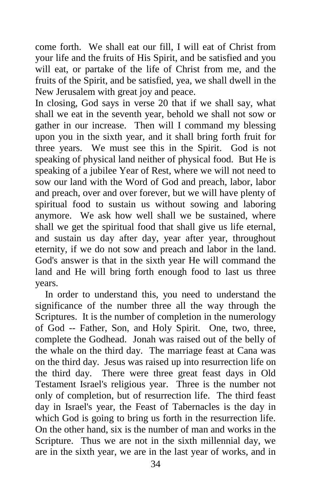come forth. We shall eat our fill, I will eat of Christ from your life and the fruits of His Spirit, and be satisfied and you will eat, or partake of the life of Christ from me, and the fruits of the Spirit, and be satisfied, yea, we shall dwell in the New Jerusalem with great joy and peace.

In closing, God says in verse 20 that if we shall say, what shall we eat in the seventh year, behold we shall not sow or gather in our increase. Then will I command my blessing upon you in the sixth year, and it shall bring forth fruit for three years. We must see this in the Spirit. God is not speaking of physical land neither of physical food. But He is speaking of a jubilee Year of Rest, where we will not need to sow our land with the Word of God and preach, labor, labor and preach, over and over forever, but we will have plenty of spiritual food to sustain us without sowing and laboring anymore. We ask how well shall we be sustained, where shall we get the spiritual food that shall give us life eternal, and sustain us day after day, year after year, throughout eternity, if we do not sow and preach and labor in the land. God's answer is that in the sixth year He will command the land and He will bring forth enough food to last us three years.

 In order to understand this, you need to understand the significance of the number three all the way through the Scriptures. It is the number of completion in the numerology of God -- Father, Son, and Holy Spirit. One, two, three, complete the Godhead. Jonah was raised out of the belly of the whale on the third day. The marriage feast at Cana was on the third day. Jesus was raised up into resurrection life on the third day. There were three great feast days in Old Testament Israel's religious year. Three is the number not only of completion, but of resurrection life. The third feast day in Israel's year, the Feast of Tabernacles is the day in which God is going to bring us forth in the resurrection life. On the other hand, six is the number of man and works in the Scripture. Thus we are not in the sixth millennial day, we are in the sixth year, we are in the last year of works, and in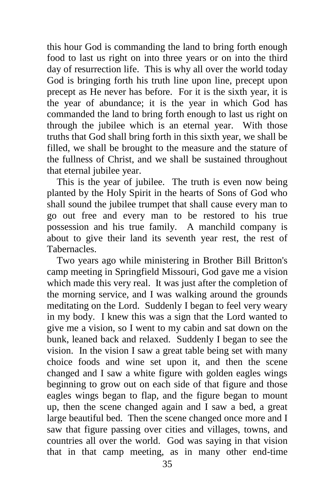this hour God is commanding the land to bring forth enough food to last us right on into three years or on into the third day of resurrection life. This is why all over the world today God is bringing forth his truth line upon line, precept upon precept as He never has before. For it is the sixth year, it is the year of abundance; it is the year in which God has commanded the land to bring forth enough to last us right on through the jubilee which is an eternal year. With those truths that God shall bring forth in this sixth year, we shall be filled, we shall be brought to the measure and the stature of the fullness of Christ, and we shall be sustained throughout that eternal jubilee year.

 This is the year of jubilee. The truth is even now being planted by the Holy Spirit in the hearts of Sons of God who shall sound the jubilee trumpet that shall cause every man to go out free and every man to be restored to his true possession and his true family. A manchild company is about to give their land its seventh year rest, the rest of Tabernacles.

 Two years ago while ministering in Brother Bill Britton's camp meeting in Springfield Missouri, God gave me a vision which made this very real. It was just after the completion of the morning service, and I was walking around the grounds meditating on the Lord. Suddenly I began to feel very weary in my body. I knew this was a sign that the Lord wanted to give me a vision, so I went to my cabin and sat down on the bunk, leaned back and relaxed. Suddenly I began to see the vision. In the vision I saw a great table being set with many choice foods and wine set upon it, and then the scene changed and I saw a white figure with golden eagles wings beginning to grow out on each side of that figure and those eagles wings began to flap, and the figure began to mount up, then the scene changed again and I saw a bed, a great large beautiful bed. Then the scene changed once more and I saw that figure passing over cities and villages, towns, and countries all over the world. God was saying in that vision that in that camp meeting, as in many other end-time